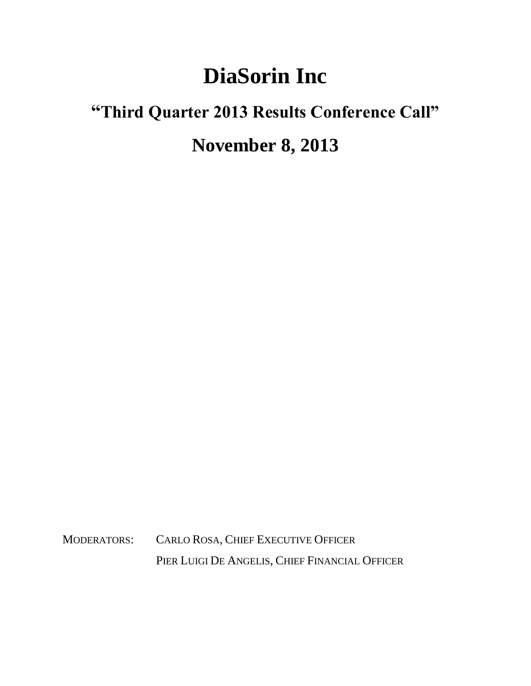## **DiaSorin Inc**

## **"Third Quarter 2013 Results Conference Call" November 8, 2013**

MODERATORS: CARLO ROSA, CHIEF EXECUTIVE OFFICER PIER LUIGI DE ANGELIS, CHIEF FINANCIAL OFFICER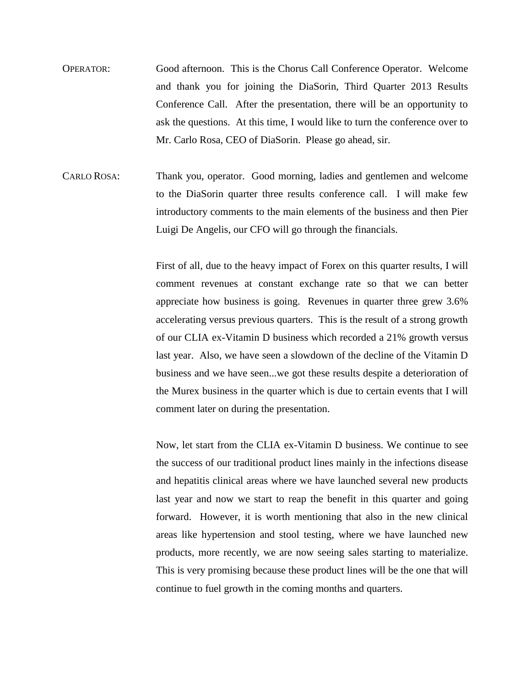- OPERATOR: Good afternoon. This is the Chorus Call Conference Operator. Welcome and thank you for joining the DiaSorin, Third Quarter 2013 Results Conference Call. After the presentation, there will be an opportunity to ask the questions. At this time, I would like to turn the conference over to Mr. Carlo Rosa, CEO of DiaSorin. Please go ahead, sir.
- CARLO ROSA: Thank you, operator. Good morning, ladies and gentlemen and welcome to the DiaSorin quarter three results conference call. I will make few introductory comments to the main elements of the business and then Pier Luigi De Angelis, our CFO will go through the financials.

First of all, due to the heavy impact of Forex on this quarter results, I will comment revenues at constant exchange rate so that we can better appreciate how business is going. Revenues in quarter three grew 3.6% accelerating versus previous quarters. This is the result of a strong growth of our CLIA ex-Vitamin D business which recorded a 21% growth versus last year. Also, we have seen a slowdown of the decline of the Vitamin D business and we have seen...we got these results despite a deterioration of the Murex business in the quarter which is due to certain events that I will comment later on during the presentation.

Now, let start from the CLIA ex-Vitamin D business. We continue to see the success of our traditional product lines mainly in the infections disease and hepatitis clinical areas where we have launched several new products last year and now we start to reap the benefit in this quarter and going forward. However, it is worth mentioning that also in the new clinical areas like hypertension and stool testing, where we have launched new products, more recently, we are now seeing sales starting to materialize. This is very promising because these product lines will be the one that will continue to fuel growth in the coming months and quarters.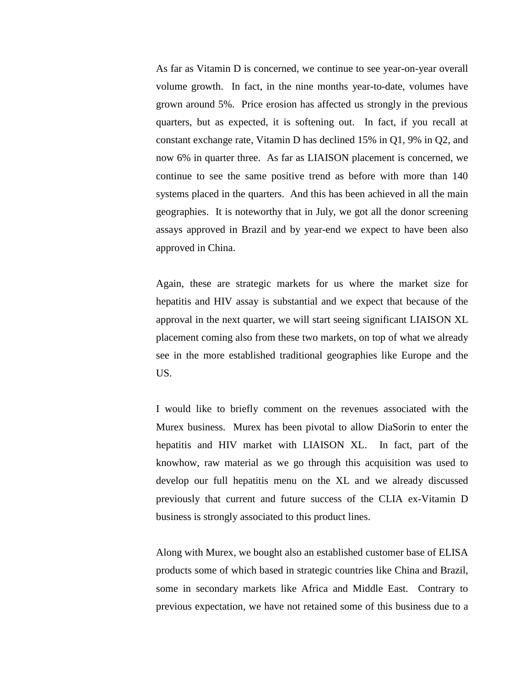As far as Vitamin D is concerned, we continue to see year-on-year overall volume growth. In fact, in the nine months year-to-date, volumes have grown around 5%. Price erosion has affected us strongly in the previous quarters, but as expected, it is softening out. In fact, if you recall at constant exchange rate, Vitamin D has declined 15% in Q1, 9% in Q2, and now 6% in quarter three. As far as LIAISON placement is concerned, we continue to see the same positive trend as before with more than 140 systems placed in the quarters. And this has been achieved in all the main geographies. It is noteworthy that in July, we got all the donor screening assays approved in Brazil and by year-end we expect to have been also approved in China.

Again, these are strategic markets for us where the market size for hepatitis and HIV assay is substantial and we expect that because of the approval in the next quarter, we will start seeing significant LIAISON XL placement coming also from these two markets, on top of what we already see in the more established traditional geographies like Europe and the US.

I would like to briefly comment on the revenues associated with the Murex business. Murex has been pivotal to allow DiaSorin to enter the hepatitis and HIV market with LIAISON XL. In fact, part of the knowhow, raw material as we go through this acquisition was used to develop our full hepatitis menu on the XL and we already discussed previously that current and future success of the CLIA ex-Vitamin D business is strongly associated to this product lines.

Along with Murex, we bought also an established customer base of ELISA products some of which based in strategic countries like China and Brazil, some in secondary markets like Africa and Middle East. Contrary to previous expectation, we have not retained some of this business due to a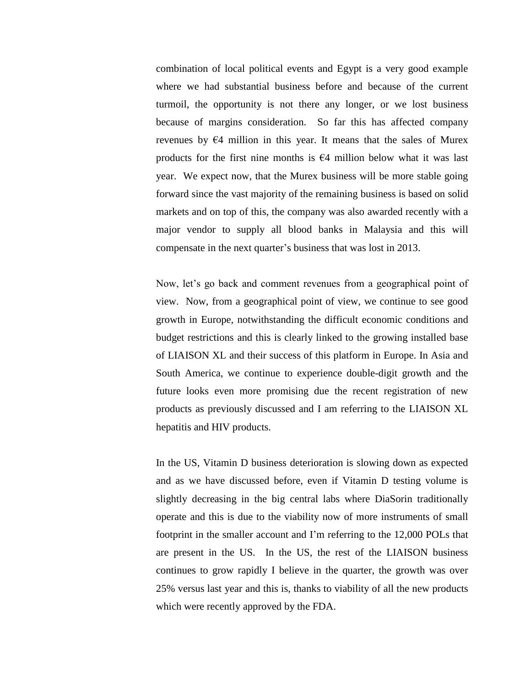combination of local political events and Egypt is a very good example where we had substantial business before and because of the current turmoil, the opportunity is not there any longer, or we lost business because of margins consideration. So far this has affected company revenues by  $64$  million in this year. It means that the sales of Murex products for the first nine months is  $€4$  million below what it was last year. We expect now, that the Murex business will be more stable going forward since the vast majority of the remaining business is based on solid markets and on top of this, the company was also awarded recently with a major vendor to supply all blood banks in Malaysia and this will compensate in the next quarter's business that was lost in 2013.

Now, let's go back and comment revenues from a geographical point of view. Now, from a geographical point of view, we continue to see good growth in Europe, notwithstanding the difficult economic conditions and budget restrictions and this is clearly linked to the growing installed base of LIAISON XL and their success of this platform in Europe. In Asia and South America, we continue to experience double-digit growth and the future looks even more promising due the recent registration of new products as previously discussed and I am referring to the LIAISON XL hepatitis and HIV products.

In the US, Vitamin D business deterioration is slowing down as expected and as we have discussed before, even if Vitamin D testing volume is slightly decreasing in the big central labs where DiaSorin traditionally operate and this is due to the viability now of more instruments of small footprint in the smaller account and I'm referring to the 12,000 POLs that are present in the US. In the US, the rest of the LIAISON business continues to grow rapidly I believe in the quarter, the growth was over 25% versus last year and this is, thanks to viability of all the new products which were recently approved by the FDA.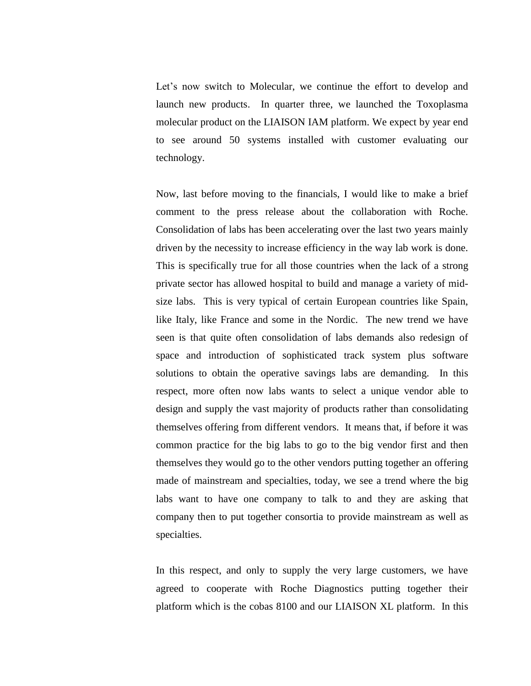Let's now switch to Molecular, we continue the effort to develop and launch new products. In quarter three, we launched the Toxoplasma molecular product on the LIAISON IAM platform. We expect by year end to see around 50 systems installed with customer evaluating our technology.

Now, last before moving to the financials, I would like to make a brief comment to the press release about the collaboration with Roche. Consolidation of labs has been accelerating over the last two years mainly driven by the necessity to increase efficiency in the way lab work is done. This is specifically true for all those countries when the lack of a strong private sector has allowed hospital to build and manage a variety of midsize labs. This is very typical of certain European countries like Spain, like Italy, like France and some in the Nordic. The new trend we have seen is that quite often consolidation of labs demands also redesign of space and introduction of sophisticated track system plus software solutions to obtain the operative savings labs are demanding. In this respect, more often now labs wants to select a unique vendor able to design and supply the vast majority of products rather than consolidating themselves offering from different vendors. It means that, if before it was common practice for the big labs to go to the big vendor first and then themselves they would go to the other vendors putting together an offering made of mainstream and specialties, today, we see a trend where the big labs want to have one company to talk to and they are asking that company then to put together consortia to provide mainstream as well as specialties.

In this respect, and only to supply the very large customers, we have agreed to cooperate with Roche Diagnostics putting together their platform which is the cobas 8100 and our LIAISON XL platform. In this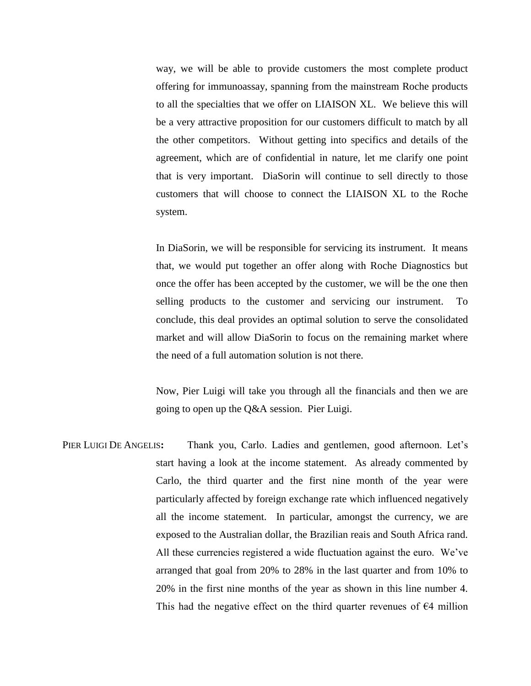way, we will be able to provide customers the most complete product offering for immunoassay, spanning from the mainstream Roche products to all the specialties that we offer on LIAISON XL. We believe this will be a very attractive proposition for our customers difficult to match by all the other competitors. Without getting into specifics and details of the agreement, which are of confidential in nature, let me clarify one point that is very important. DiaSorin will continue to sell directly to those customers that will choose to connect the LIAISON XL to the Roche system.

In DiaSorin, we will be responsible for servicing its instrument. It means that, we would put together an offer along with Roche Diagnostics but once the offer has been accepted by the customer, we will be the one then selling products to the customer and servicing our instrument. To conclude, this deal provides an optimal solution to serve the consolidated market and will allow DiaSorin to focus on the remaining market where the need of a full automation solution is not there.

Now, Pier Luigi will take you through all the financials and then we are going to open up the Q&A session. Pier Luigi.

PIER LUIGI DE ANGELIS**:** Thank you, Carlo. Ladies and gentlemen, good afternoon. Let's start having a look at the income statement. As already commented by Carlo, the third quarter and the first nine month of the year were particularly affected by foreign exchange rate which influenced negatively all the income statement. In particular, amongst the currency, we are exposed to the Australian dollar, the Brazilian reais and South Africa rand. All these currencies registered a wide fluctuation against the euro. We've arranged that goal from 20% to 28% in the last quarter and from 10% to 20% in the first nine months of the year as shown in this line number 4. This had the negative effect on the third quarter revenues of  $\epsilon$ 4 million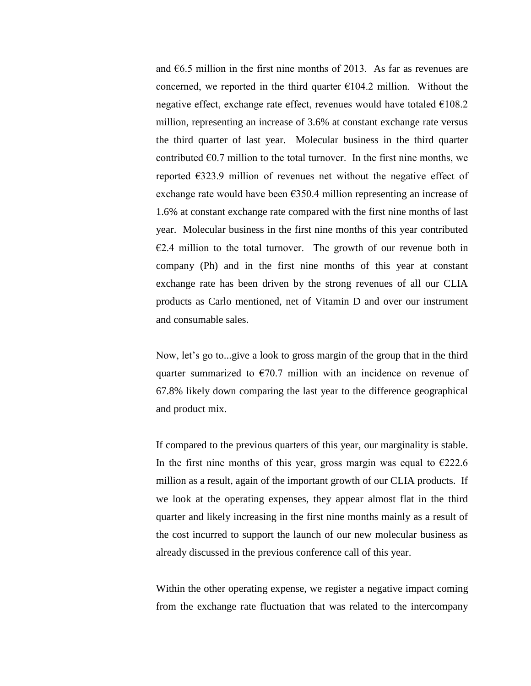and  $66.5$  million in the first nine months of 2013. As far as revenues are concerned, we reported in the third quarter  $E104.2$  million. Without the negative effect, exchange rate effect, revenues would have totaled  $E108.2$ million, representing an increase of 3.6% at constant exchange rate versus the third quarter of last year. Molecular business in the third quarter contributed  $\epsilon$ 0.7 million to the total turnover. In the first nine months, we reported €323.9 million of revenues net without the negative effect of exchange rate would have been  $E$ 350.4 million representing an increase of 1.6% at constant exchange rate compared with the first nine months of last year. Molecular business in the first nine months of this year contributed  $E2.4$  million to the total turnover. The growth of our revenue both in company (Ph) and in the first nine months of this year at constant exchange rate has been driven by the strong revenues of all our CLIA products as Carlo mentioned, net of Vitamin D and over our instrument and consumable sales.

Now, let's go to...give a look to gross margin of the group that in the third quarter summarized to  $\epsilon$ 70.7 million with an incidence on revenue of 67.8% likely down comparing the last year to the difference geographical and product mix.

If compared to the previous quarters of this year, our marginality is stable. In the first nine months of this year, gross margin was equal to  $\epsilon$ 222.6 million as a result, again of the important growth of our CLIA products. If we look at the operating expenses, they appear almost flat in the third quarter and likely increasing in the first nine months mainly as a result of the cost incurred to support the launch of our new molecular business as already discussed in the previous conference call of this year.

Within the other operating expense, we register a negative impact coming from the exchange rate fluctuation that was related to the intercompany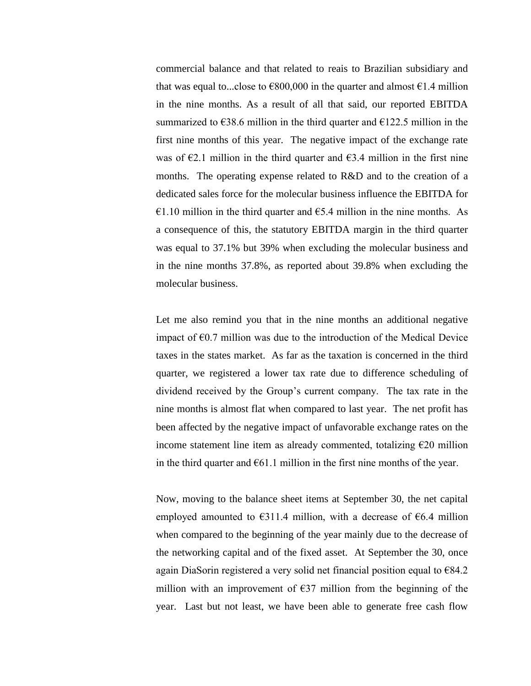commercial balance and that related to reais to Brazilian subsidiary and that was equal to...close to  $\epsilon$ 800,000 in the quarter and almost  $\epsilon$ 1.4 million in the nine months. As a result of all that said, our reported EBITDA summarized to  $638.6$  million in the third quarter and  $6122.5$  million in the first nine months of this year. The negative impact of the exchange rate was of  $\epsilon$ 2.1 million in the third quarter and  $\epsilon$ 3.4 million in the first nine months. The operating expense related to R&D and to the creation of a dedicated sales force for the molecular business influence the EBITDA for  $\epsilon$ 1.10 million in the third quarter and  $\epsilon$ 5.4 million in the nine months. As a consequence of this, the statutory EBITDA margin in the third quarter was equal to 37.1% but 39% when excluding the molecular business and in the nine months 37.8%, as reported about 39.8% when excluding the molecular business.

Let me also remind you that in the nine months an additional negative impact of  $\epsilon$ 0.7 million was due to the introduction of the Medical Device taxes in the states market. As far as the taxation is concerned in the third quarter, we registered a lower tax rate due to difference scheduling of dividend received by the Group's current company. The tax rate in the nine months is almost flat when compared to last year. The net profit has been affected by the negative impact of unfavorable exchange rates on the income statement line item as already commented, totalizing  $E20$  million in the third quarter and  $E61.1$  million in the first nine months of the year.

Now, moving to the balance sheet items at September 30, the net capital employed amounted to  $E311.4$  million, with a decrease of  $E6.4$  million when compared to the beginning of the year mainly due to the decrease of the networking capital and of the fixed asset. At September the 30, once again DiaSorin registered a very solid net financial position equal to €84.2 million with an improvement of  $E$ 37 million from the beginning of the year. Last but not least, we have been able to generate free cash flow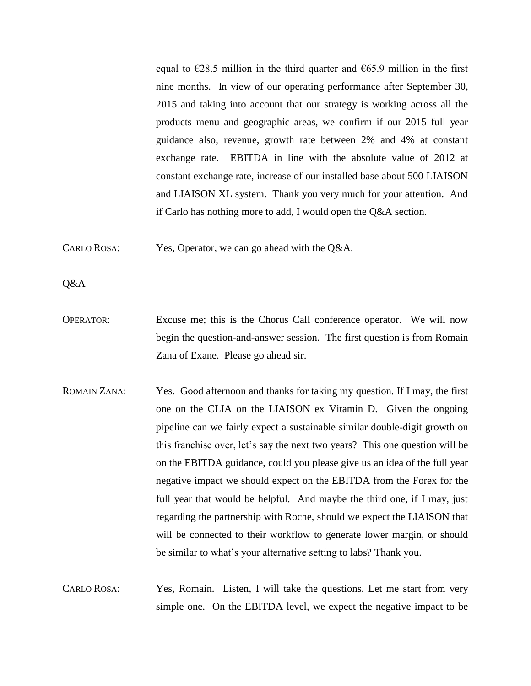equal to  $\epsilon$ 28.5 million in the third quarter and  $\epsilon$ 65.9 million in the first nine months. In view of our operating performance after September 30, 2015 and taking into account that our strategy is working across all the products menu and geographic areas, we confirm if our 2015 full year guidance also, revenue, growth rate between 2% and 4% at constant exchange rate. EBITDA in line with the absolute value of 2012 at constant exchange rate, increase of our installed base about 500 LIAISON and LIAISON XL system. Thank you very much for your attention. And if Carlo has nothing more to add, I would open the Q&A section.

CARLO ROSA: Yes, Operator, we can go ahead with the Q&A.

Q&A

- OPERATOR: Excuse me; this is the Chorus Call conference operator. We will now begin the question-and-answer session. The first question is from Romain Zana of Exane. Please go ahead sir.
- ROMAIN ZANA: Yes. Good afternoon and thanks for taking my question. If I may, the first one on the CLIA on the LIAISON ex Vitamin D. Given the ongoing pipeline can we fairly expect a sustainable similar double-digit growth on this franchise over, let's say the next two years? This one question will be on the EBITDA guidance, could you please give us an idea of the full year negative impact we should expect on the EBITDA from the Forex for the full year that would be helpful. And maybe the third one, if I may, just regarding the partnership with Roche, should we expect the LIAISON that will be connected to their workflow to generate lower margin, or should be similar to what's your alternative setting to labs? Thank you.
- CARLO ROSA: Yes, Romain. Listen, I will take the questions. Let me start from very simple one. On the EBITDA level, we expect the negative impact to be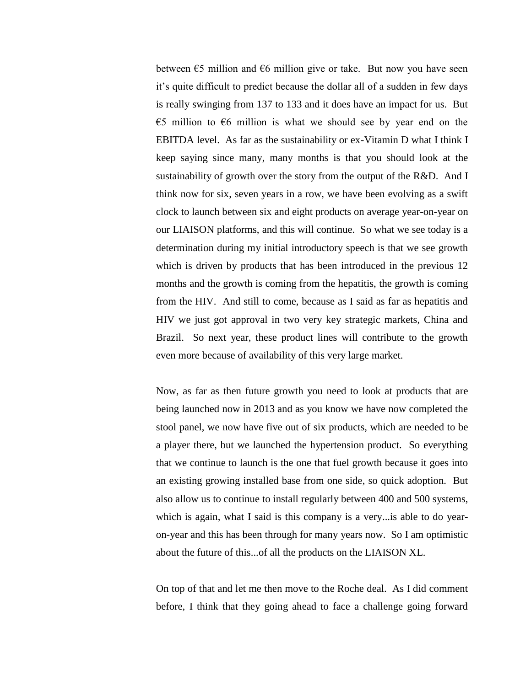between  $\epsilon$ 5 million and  $\epsilon$ 6 million give or take. But now you have seen it's quite difficult to predict because the dollar all of a sudden in few days is really swinging from 137 to 133 and it does have an impact for us. But €5 million to  $€6$  million is what we should see by year end on the EBITDA level. As far as the sustainability or ex-Vitamin D what I think I keep saying since many, many months is that you should look at the sustainability of growth over the story from the output of the R&D. And I think now for six, seven years in a row, we have been evolving as a swift clock to launch between six and eight products on average year-on-year on our LIAISON platforms, and this will continue. So what we see today is a determination during my initial introductory speech is that we see growth which is driven by products that has been introduced in the previous 12 months and the growth is coming from the hepatitis, the growth is coming from the HIV. And still to come, because as I said as far as hepatitis and HIV we just got approval in two very key strategic markets, China and Brazil. So next year, these product lines will contribute to the growth even more because of availability of this very large market.

Now, as far as then future growth you need to look at products that are being launched now in 2013 and as you know we have now completed the stool panel, we now have five out of six products, which are needed to be a player there, but we launched the hypertension product. So everything that we continue to launch is the one that fuel growth because it goes into an existing growing installed base from one side, so quick adoption. But also allow us to continue to install regularly between 400 and 500 systems, which is again, what I said is this company is a very... is able to do yearon-year and this has been through for many years now. So I am optimistic about the future of this...of all the products on the LIAISON XL.

On top of that and let me then move to the Roche deal. As I did comment before, I think that they going ahead to face a challenge going forward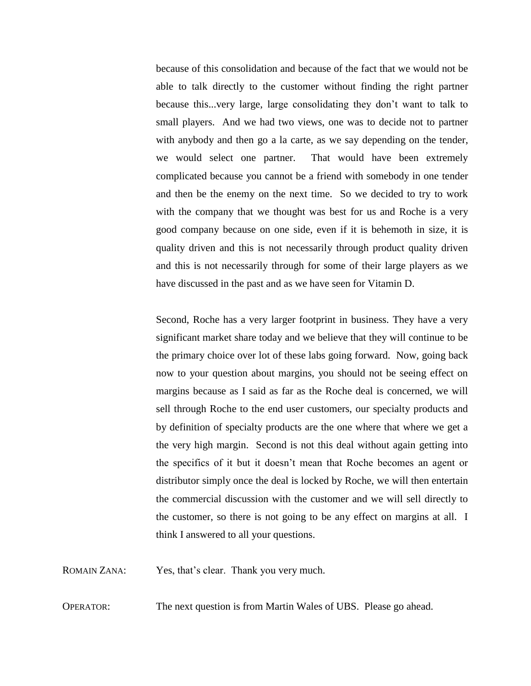because of this consolidation and because of the fact that we would not be able to talk directly to the customer without finding the right partner because this...very large, large consolidating they don't want to talk to small players. And we had two views, one was to decide not to partner with anybody and then go a la carte, as we say depending on the tender, we would select one partner. That would have been extremely complicated because you cannot be a friend with somebody in one tender and then be the enemy on the next time. So we decided to try to work with the company that we thought was best for us and Roche is a very good company because on one side, even if it is behemoth in size, it is quality driven and this is not necessarily through product quality driven and this is not necessarily through for some of their large players as we have discussed in the past and as we have seen for Vitamin D.

Second, Roche has a very larger footprint in business. They have a very significant market share today and we believe that they will continue to be the primary choice over lot of these labs going forward. Now, going back now to your question about margins, you should not be seeing effect on margins because as I said as far as the Roche deal is concerned, we will sell through Roche to the end user customers, our specialty products and by definition of specialty products are the one where that where we get a the very high margin. Second is not this deal without again getting into the specifics of it but it doesn't mean that Roche becomes an agent or distributor simply once the deal is locked by Roche, we will then entertain the commercial discussion with the customer and we will sell directly to the customer, so there is not going to be any effect on margins at all. I think I answered to all your questions.

ROMAIN ZANA: Yes, that's clear. Thank you very much.

OPERATOR: The next question is from Martin Wales of UBS. Please go ahead.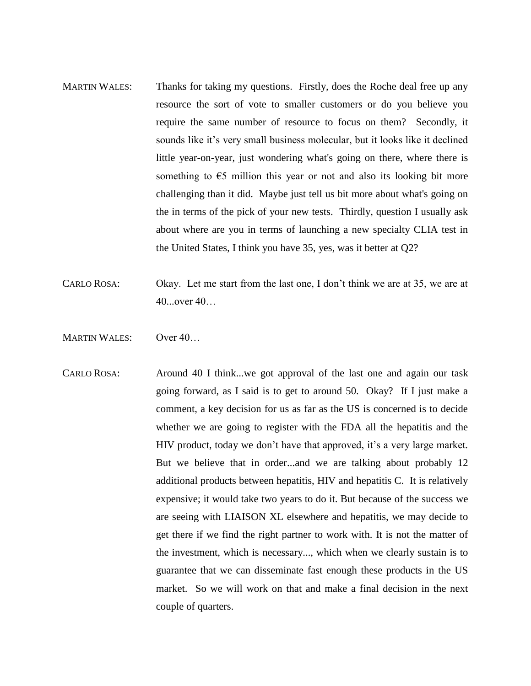- MARTIN WALES: Thanks for taking my questions. Firstly, does the Roche deal free up any resource the sort of vote to smaller customers or do you believe you require the same number of resource to focus on them? Secondly, it sounds like it's very small business molecular, but it looks like it declined little year-on-year, just wondering what's going on there, where there is something to  $\epsilon$ 5 million this year or not and also its looking bit more challenging than it did. Maybe just tell us bit more about what's going on the in terms of the pick of your new tests. Thirdly, question I usually ask about where are you in terms of launching a new specialty CLIA test in the United States, I think you have 35, yes, was it better at Q2?
- CARLO ROSA: Okay. Let me start from the last one, I don't think we are at 35, we are at 40...over 40…
- MARTIN WALES: Over 40...
- CARLO ROSA: Around 40 I think...we got approval of the last one and again our task going forward, as I said is to get to around 50. Okay? If I just make a comment, a key decision for us as far as the US is concerned is to decide whether we are going to register with the FDA all the hepatitis and the HIV product, today we don't have that approved, it's a very large market. But we believe that in order...and we are talking about probably 12 additional products between hepatitis, HIV and hepatitis C. It is relatively expensive; it would take two years to do it. But because of the success we are seeing with LIAISON XL elsewhere and hepatitis, we may decide to get there if we find the right partner to work with. It is not the matter of the investment, which is necessary..., which when we clearly sustain is to guarantee that we can disseminate fast enough these products in the US market. So we will work on that and make a final decision in the next couple of quarters.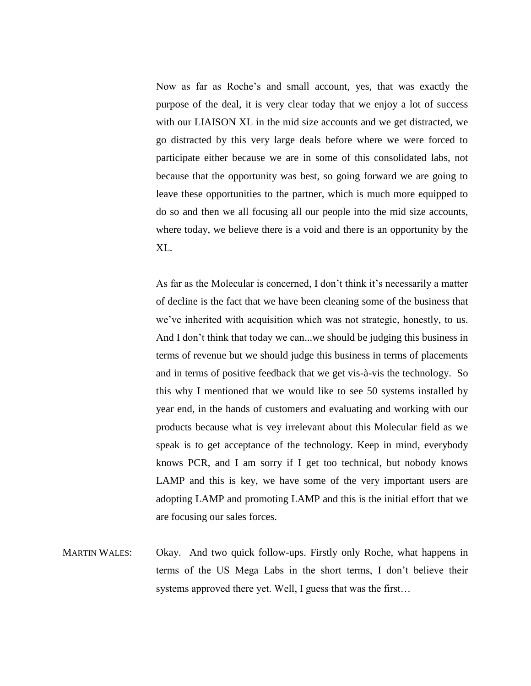Now as far as Roche's and small account, yes, that was exactly the purpose of the deal, it is very clear today that we enjoy a lot of success with our LIAISON XL in the mid size accounts and we get distracted, we go distracted by this very large deals before where we were forced to participate either because we are in some of this consolidated labs, not because that the opportunity was best, so going forward we are going to leave these opportunities to the partner, which is much more equipped to do so and then we all focusing all our people into the mid size accounts, where today, we believe there is a void and there is an opportunity by the XL.

As far as the Molecular is concerned, I don't think it's necessarily a matter of decline is the fact that we have been cleaning some of the business that we've inherited with acquisition which was not strategic, honestly, to us. And I don't think that today we can...we should be judging this business in terms of revenue but we should judge this business in terms of placements and in terms of positive feedback that we get vis-à-vis the technology. So this why I mentioned that we would like to see 50 systems installed by year end, in the hands of customers and evaluating and working with our products because what is vey irrelevant about this Molecular field as we speak is to get acceptance of the technology. Keep in mind, everybody knows PCR, and I am sorry if I get too technical, but nobody knows LAMP and this is key, we have some of the very important users are adopting LAMP and promoting LAMP and this is the initial effort that we are focusing our sales forces.

MARTIN WALES: Okay. And two quick follow-ups. Firstly only Roche, what happens in terms of the US Mega Labs in the short terms, I don't believe their systems approved there yet. Well, I guess that was the first…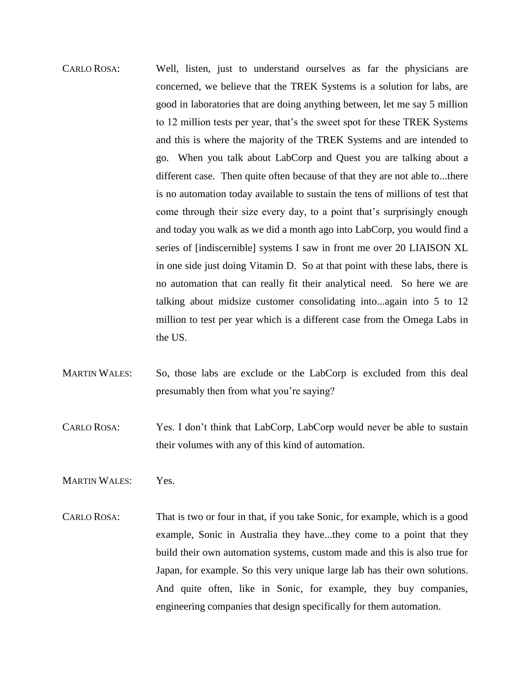- CARLO ROSA: Well, listen, just to understand ourselves as far the physicians are concerned, we believe that the TREK Systems is a solution for labs, are good in laboratories that are doing anything between, let me say 5 million to 12 million tests per year, that's the sweet spot for these TREK Systems and this is where the majority of the TREK Systems and are intended to go. When you talk about LabCorp and Quest you are talking about a different case. Then quite often because of that they are not able to...there is no automation today available to sustain the tens of millions of test that come through their size every day, to a point that's surprisingly enough and today you walk as we did a month ago into LabCorp, you would find a series of [indiscernible] systems I saw in front me over 20 LIAISON XL in one side just doing Vitamin D. So at that point with these labs, there is no automation that can really fit their analytical need. So here we are talking about midsize customer consolidating into...again into 5 to 12 million to test per year which is a different case from the Omega Labs in the US.
- MARTIN WALES: So, those labs are exclude or the LabCorp is excluded from this deal presumably then from what you're saying?
- CARLO ROSA: Yes. I don't think that LabCorp, LabCorp would never be able to sustain their volumes with any of this kind of automation.
- MARTIN WALES: Yes.
- CARLO ROSA: That is two or four in that, if you take Sonic, for example, which is a good example, Sonic in Australia they have...they come to a point that they build their own automation systems, custom made and this is also true for Japan, for example. So this very unique large lab has their own solutions. And quite often, like in Sonic, for example, they buy companies, engineering companies that design specifically for them automation.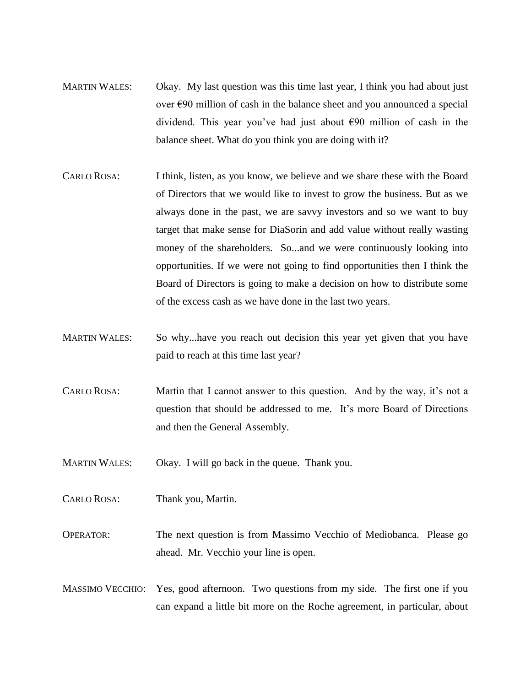- MARTIN WALES: Okay. My last question was this time last year, I think you had about just over €90 million of cash in the balance sheet and you announced a special dividend. This year you've had just about €90 million of cash in the balance sheet. What do you think you are doing with it?
- CARLO ROSA: I think, listen, as you know, we believe and we share these with the Board of Directors that we would like to invest to grow the business. But as we always done in the past, we are savvy investors and so we want to buy target that make sense for DiaSorin and add value without really wasting money of the shareholders. So...and we were continuously looking into opportunities. If we were not going to find opportunities then I think the Board of Directors is going to make a decision on how to distribute some of the excess cash as we have done in the last two years.
- MARTIN WALES: So why...have you reach out decision this year yet given that you have paid to reach at this time last year?
- CARLO ROSA: Martin that I cannot answer to this question. And by the way, it's not a question that should be addressed to me. It's more Board of Directions and then the General Assembly.
- MARTIN WALES: Okay. I will go back in the queue. Thank you.
- CARLO ROSA: Thank you, Martin.
- OPERATOR: The next question is from Massimo Vecchio of Mediobanca. Please go ahead. Mr. Vecchio your line is open.
- MASSIMO VECCHIO: Yes, good afternoon. Two questions from my side. The first one if you can expand a little bit more on the Roche agreement, in particular, about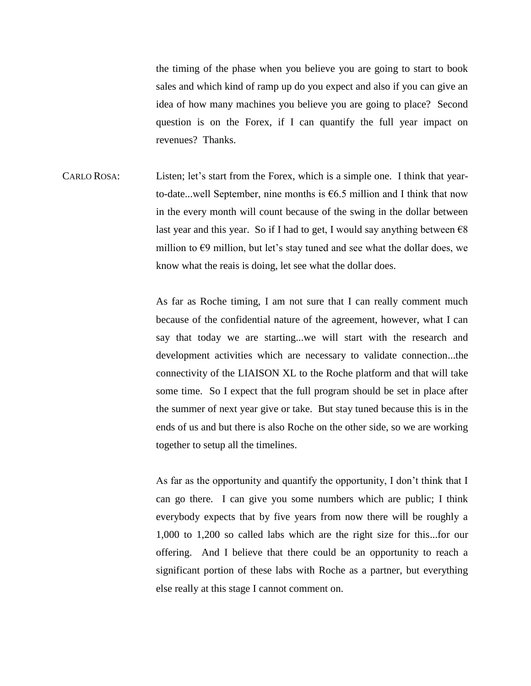the timing of the phase when you believe you are going to start to book sales and which kind of ramp up do you expect and also if you can give an idea of how many machines you believe you are going to place? Second question is on the Forex, if I can quantify the full year impact on revenues? Thanks.

CARLO ROSA: Listen; let's start from the Forex, which is a simple one. I think that yearto-date...well September, nine months is  $66.5$  million and I think that now in the every month will count because of the swing in the dollar between last year and this year. So if I had to get, I would say anything between  $\epsilon$ 8 million to  $\epsilon$ 9 million, but let's stay tuned and see what the dollar does, we know what the reais is doing, let see what the dollar does.

> As far as Roche timing, I am not sure that I can really comment much because of the confidential nature of the agreement, however, what I can say that today we are starting...we will start with the research and development activities which are necessary to validate connection...the connectivity of the LIAISON XL to the Roche platform and that will take some time. So I expect that the full program should be set in place after the summer of next year give or take. But stay tuned because this is in the ends of us and but there is also Roche on the other side, so we are working together to setup all the timelines.

> As far as the opportunity and quantify the opportunity, I don't think that I can go there. I can give you some numbers which are public; I think everybody expects that by five years from now there will be roughly a 1,000 to 1,200 so called labs which are the right size for this...for our offering. And I believe that there could be an opportunity to reach a significant portion of these labs with Roche as a partner, but everything else really at this stage I cannot comment on.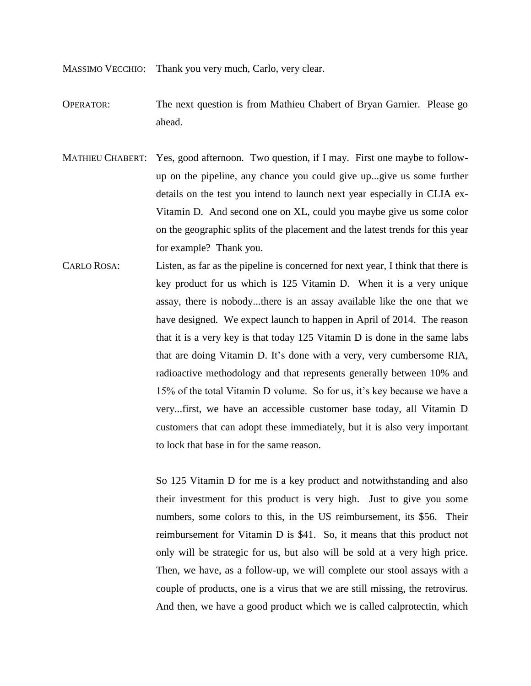MASSIMO VECCHIO: Thank you very much, Carlo, very clear.

- OPERATOR: The next question is from Mathieu Chabert of Bryan Garnier. Please go ahead.
- MATHIEU CHABERT: Yes, good afternoon. Two question, if I may. First one maybe to followup on the pipeline, any chance you could give up...give us some further details on the test you intend to launch next year especially in CLIA ex-Vitamin D. And second one on XL, could you maybe give us some color on the geographic splits of the placement and the latest trends for this year for example? Thank you.
- CARLO ROSA: Listen, as far as the pipeline is concerned for next year, I think that there is key product for us which is 125 Vitamin D. When it is a very unique assay, there is nobody...there is an assay available like the one that we have designed. We expect launch to happen in April of 2014. The reason that it is a very key is that today 125 Vitamin D is done in the same labs that are doing Vitamin D. It's done with a very, very cumbersome RIA, radioactive methodology and that represents generally between 10% and 15% of the total Vitamin D volume. So for us, it's key because we have a very...first, we have an accessible customer base today, all Vitamin D customers that can adopt these immediately, but it is also very important to lock that base in for the same reason.

So 125 Vitamin D for me is a key product and notwithstanding and also their investment for this product is very high. Just to give you some numbers, some colors to this, in the US reimbursement, its \$56. Their reimbursement for Vitamin D is \$41. So, it means that this product not only will be strategic for us, but also will be sold at a very high price. Then, we have, as a follow-up, we will complete our stool assays with a couple of products, one is a virus that we are still missing, the retrovirus. And then, we have a good product which we is called calprotectin, which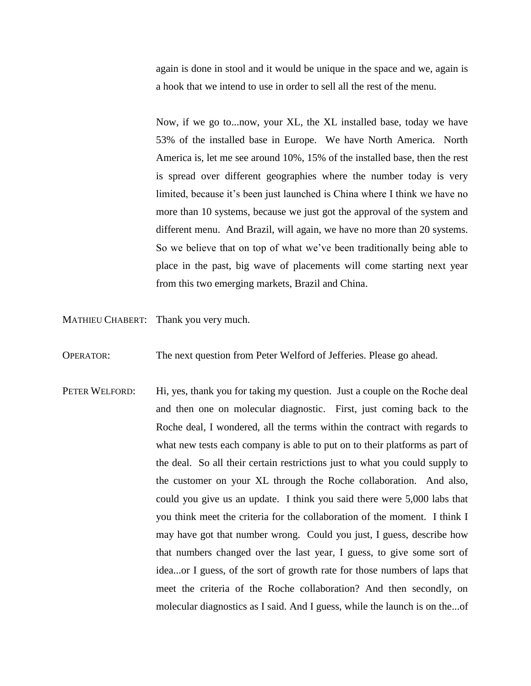again is done in stool and it would be unique in the space and we, again is a hook that we intend to use in order to sell all the rest of the menu.

Now, if we go to...now, your XL, the XL installed base, today we have 53% of the installed base in Europe. We have North America. North America is, let me see around 10%, 15% of the installed base, then the rest is spread over different geographies where the number today is very limited, because it's been just launched is China where I think we have no more than 10 systems, because we just got the approval of the system and different menu. And Brazil, will again, we have no more than 20 systems. So we believe that on top of what we've been traditionally being able to place in the past, big wave of placements will come starting next year from this two emerging markets, Brazil and China.

MATHIEU CHABERT: Thank you very much.

OPERATOR: The next question from Peter Welford of Jefferies. Please go ahead.

PETER WELFORD: Hi, yes, thank you for taking my question. Just a couple on the Roche deal and then one on molecular diagnostic. First, just coming back to the Roche deal, I wondered, all the terms within the contract with regards to what new tests each company is able to put on to their platforms as part of the deal. So all their certain restrictions just to what you could supply to the customer on your XL through the Roche collaboration. And also, could you give us an update. I think you said there were 5,000 labs that you think meet the criteria for the collaboration of the moment. I think I may have got that number wrong. Could you just, I guess, describe how that numbers changed over the last year, I guess, to give some sort of idea...or I guess, of the sort of growth rate for those numbers of laps that meet the criteria of the Roche collaboration? And then secondly, on molecular diagnostics as I said. And I guess, while the launch is on the...of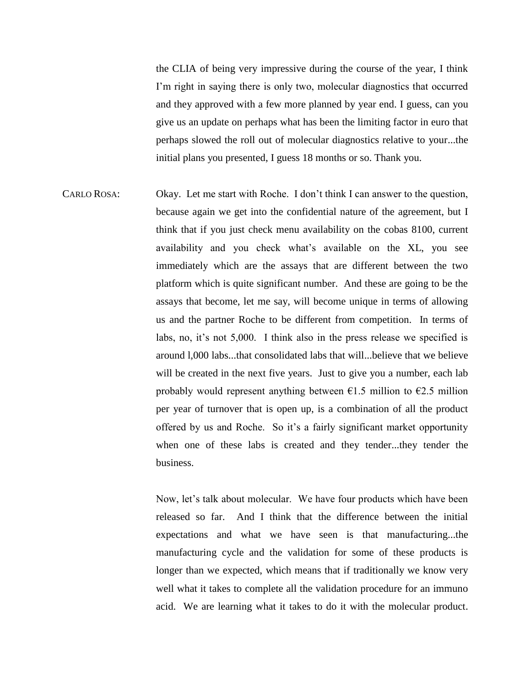the CLIA of being very impressive during the course of the year, I think I'm right in saying there is only two, molecular diagnostics that occurred and they approved with a few more planned by year end. I guess, can you give us an update on perhaps what has been the limiting factor in euro that perhaps slowed the roll out of molecular diagnostics relative to your...the initial plans you presented, I guess 18 months or so. Thank you.

CARLO ROSA: Okay. Let me start with Roche. I don't think I can answer to the question, because again we get into the confidential nature of the agreement, but I think that if you just check menu availability on the cobas 8100, current availability and you check what's available on the XL, you see immediately which are the assays that are different between the two platform which is quite significant number. And these are going to be the assays that become, let me say, will become unique in terms of allowing us and the partner Roche to be different from competition. In terms of labs, no, it's not 5,000. I think also in the press release we specified is around l,000 labs...that consolidated labs that will...believe that we believe will be created in the next five years. Just to give you a number, each lab probably would represent anything between  $\epsilon$ 1.5 million to  $\epsilon$ 2.5 million per year of turnover that is open up, is a combination of all the product offered by us and Roche. So it's a fairly significant market opportunity when one of these labs is created and they tender...they tender the business.

> Now, let's talk about molecular. We have four products which have been released so far. And I think that the difference between the initial expectations and what we have seen is that manufacturing...the manufacturing cycle and the validation for some of these products is longer than we expected, which means that if traditionally we know very well what it takes to complete all the validation procedure for an immuno acid. We are learning what it takes to do it with the molecular product.